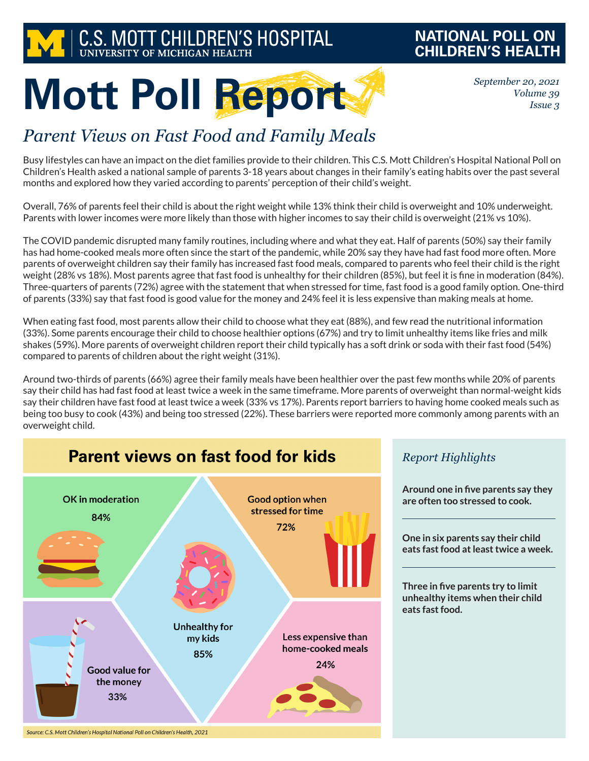

### **NATIONAL POLL ON CHILDREN'S HEALTH**

*September 20, 2021 Volume 39 Issue 3*

# **Mott Poll Report**

## *Parent Views on Fast Food and Family Meals*

Busy lifestyles can have an impact on the diet families provide to their children. This C.S. Mott Children's Hospital National Poll on Children's Health asked a national sample of parents 3-18 years about changes in their family's eating habits over the past several months and explored how they varied according to parents' perception of their child's weight.

Overall, 76% of parents feel their child is about the right weight while 13% think their child is overweight and 10% underweight. Parents with lower incomes were more likely than those with higher incomes to say their child is overweight (21% vs 10%).

The COVID pandemic disrupted many family routines, including where and what they eat. Half of parents (50%) say their family has had home-cooked meals more often since the start of the pandemic, while 20% say they have had fast food more often. More parents of overweight children say their family has increased fast food meals, compared to parents who feel their child is the right weight (28% vs 18%). Most parents agree that fast food is unhealthy for their children (85%), but feel it is fine in moderation (84%). Three-quarters of parents (72%) agree with the statement that when stressed for time, fast food is a good family option. One-third of parents (33%) say that fast food is good value for the money and 24% feel it is less expensive than making meals at home.

When eating fast food, most parents allow their child to choose what they eat (88%), and few read the nutritional information (33%). Some parents encourage their child to choose healthier options (67%) and try to limit unhealthy items like fries and milk shakes (59%). More parents of overweight children report their child typically has a soft drink or soda with their fast food (54%) compared to parents of children about the right weight (31%).

Around two-thirds of parents (66%) agree their family meals have been healthier over the past few months while 20% of parents say their child has had fast food at least twice a week in the same timeframe. More parents of overweight than normal-weight kids say their children have fast food at least twice a week (33% vs 17%). Parents report barriers to having home cooked meals such as being too busy to cook (43%) and being too stressed (22%). These barriers were reported more commonly among parents with an overweight child.



#### *Report Highlights*

**Around one in five parents say they are often too stressed to cook.**

**One in six parents say their child eats fast food at least twice a week.**

**Three in five parents try to limit unhealthy items when their child eats fast food.**